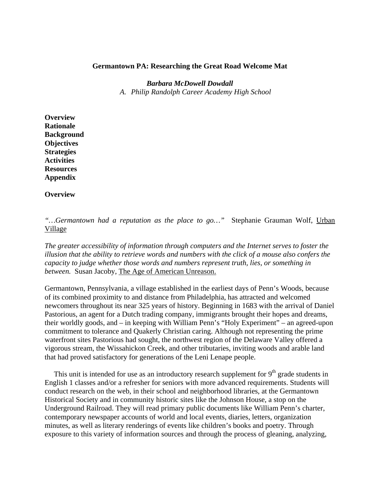#### **Germantown PA: Researching the Great Road Welcome Mat**

#### *Barbara McDowell Dowdall*

*A. Philip Randolph Career Academy High School*

**Overview Rationale Background Objectives Strategies Activities Resources Appendix** 

**Overview** 

*"…Germantown had a reputation as the place to go…"* Stephanie Grauman Wolf, Urban Village

*The greater accessibility of information through computers and the Internet serves to foster the illusion that the ability to retrieve words and numbers with the click of a mouse also confers the capacity to judge whether those words and numbers represent truth, lies, or something in between.* Susan Jacoby, The Age of American Unreason.

Germantown, Pennsylvania, a village established in the earliest days of Penn's Woods, because of its combined proximity to and distance from Philadelphia, has attracted and welcomed newcomers throughout its near 325 years of history. Beginning in 1683 with the arrival of Daniel Pastorious, an agent for a Dutch trading company, immigrants brought their hopes and dreams, their worldly goods, and – in keeping with William Penn's "Holy Experiment" – an agreed-upon commitment to tolerance and Quakerly Christian caring. Although not representing the prime waterfront sites Pastorious had sought, the northwest region of the Delaware Valley offered a vigorous stream, the Wissahickon Creek, and other tributaries, inviting woods and arable land that had proved satisfactory for generations of the Leni Lenape people.

This unit is intended for use as an introductory research supplement for  $9<sup>th</sup>$  grade students in English 1 classes and/or a refresher for seniors with more advanced requirements. Students will conduct research on the web, in their school and neighborhood libraries, at the Germantown Historical Society and in community historic sites like the Johnson House, a stop on the Underground Railroad. They will read primary public documents like William Penn's charter, contemporary newspaper accounts of world and local events, diaries, letters, organization minutes, as well as literary renderings of events like children's books and poetry. Through exposure to this variety of information sources and through the process of gleaning, analyzing,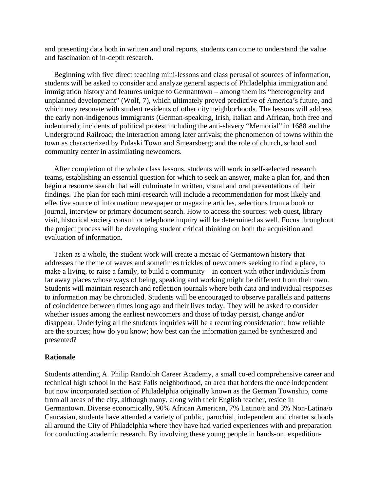and presenting data both in written and oral reports, students can come to understand the value and fascination of in-depth research.

 Beginning with five direct teaching mini-lessons and class perusal of sources of information, students will be asked to consider and analyze general aspects of Philadelphia immigration and immigration history and features unique to Germantown – among them its "heterogeneity and unplanned development" (Wolf, 7), which ultimately proved predictive of America's future, and which may resonate with student residents of other city neighborhoods. The lessons will address the early non-indigenous immigrants (German-speaking, Irish, Italian and African, both free and indentured); incidents of political protest including the anti-slavery "Memorial" in 1688 and the Underground Railroad; the interaction among later arrivals; the phenomenon of towns within the town as characterized by Pulaski Town and Smearsberg; and the role of church, school and community center in assimilating newcomers.

 After completion of the whole class lessons, students will work in self-selected research teams, establishing an essential question for which to seek an answer, make a plan for, and then begin a resource search that will culminate in written, visual and oral presentations of their findings. The plan for each mini-research will include a recommendation for most likely and effective source of information: newspaper or magazine articles, selections from a book or journal, interview or primary document search. How to access the sources: web quest, library visit, historical society consult or telephone inquiry will be determined as well. Focus throughout the project process will be developing student critical thinking on both the acquisition and evaluation of information.

 Taken as a whole, the student work will create a mosaic of Germantown history that addresses the theme of waves and sometimes trickles of newcomers seeking to find a place, to make a living, to raise a family, to build a community – in concert with other individuals from far away places whose ways of being, speaking and working might be different from their own. Students will maintain research and reflection journals where both data and individual responses to information may be chronicled. Students will be encouraged to observe parallels and patterns of coincidence between times long ago and their lives today. They will be asked to consider whether issues among the earliest newcomers and those of today persist, change and/or disappear. Underlying all the students inquiries will be a recurring consideration: how reliable are the sources; how do you know; how best can the information gained be synthesized and presented?

#### **Rationale**

Students attending A. Philip Randolph Career Academy, a small co-ed comprehensive career and technical high school in the East Falls neighborhood, an area that borders the once independent but now incorporated section of Philadelphia originally known as the German Township, come from all areas of the city, although many, along with their English teacher, reside in Germantown. Diverse economically, 90% African American, 7% Latino/a and 3% Non-Latina/o Caucasian, students have attended a variety of public, parochial, independent and charter schools all around the City of Philadelphia where they have had varied experiences with and preparation for conducting academic research. By involving these young people in hands-on, expedition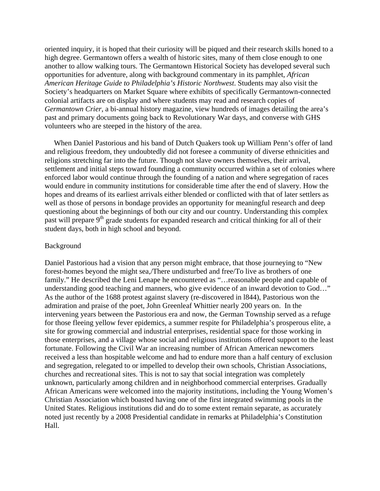oriented inquiry, it is hoped that their curiosity will be piqued and their research skills honed to a high degree. Germantown offers a wealth of historic sites, many of them close enough to one another to allow walking tours. The Germantown Historical Society has developed several such opportunities for adventure, along with background commentary in its pamphlet, *African American Heritage Guide to Philadelphia's Historic Northwest*. Students may also visit the Society's headquarters on Market Square where exhibits of specifically Germantown-connected colonial artifacts are on display and where students may read and research copies of *Germantown Crier*, a bi-annual history magazine, view hundreds of images detailing the area's past and primary documents going back to Revolutionary War days, and converse with GHS volunteers who are steeped in the history of the area.

 When Daniel Pastorious and his band of Dutch Quakers took up William Penn's offer of land and religious freedom, they undoubtedly did not foresee a community of diverse ethnicities and religions stretching far into the future. Though not slave owners themselves, their arrival, settlement and initial steps toward founding a community occurred within a set of colonies where enforced labor would continue through the founding of a nation and where segregation of races would endure in community institutions for considerable time after the end of slavery. How the hopes and dreams of its earliest arrivals either blended or conflicted with that of later settlers as well as those of persons in bondage provides an opportunity for meaningful research and deep questioning about the beginnings of both our city and our country. Understanding this complex past will prepare 9<sup>th</sup> grade students for expanded research and critical thinking for all of their student days, both in high school and beyond.

#### Background

Daniel Pastorious had a vision that any person might embrace, that those journeying to "New forest-homes beyond the might sea,/There undisturbed and free/To live as brothers of one family." He described the Leni Lenape he encountered as "... reasonable people and capable of understanding good teaching and manners, who give evidence of an inward devotion to God…" As the author of the 1688 protest against slavery (re-discovered in l844), Pastorious won the admiration and praise of the poet, John Greenleaf Whittier nearly 200 years on. In the intervening years between the Pastorious era and now, the German Township served as a refuge for those fleeing yellow fever epidemics, a summer respite for Philadelphia's prosperous elite, a site for growing commercial and industrial enterprises, residential space for those working in those enterprises, and a village whose social and religious institutions offered support to the least fortunate. Following the Civil War an increasing number of African American newcomers received a less than hospitable welcome and had to endure more than a half century of exclusion and segregation, relegated to or impelled to develop their own schools, Christian Associations, churches and recreational sites. This is not to say that social integration was completely unknown, particularly among children and in neighborhood commercial enterprises. Gradually African Americans were welcomed into the majority institutions, including the Young Women's Christian Association which boasted having one of the first integrated swimming pools in the United States. Religious institutions did and do to some extent remain separate, as accurately noted just recently by a 2008 Presidential candidate in remarks at Philadelphia's Constitution Hall.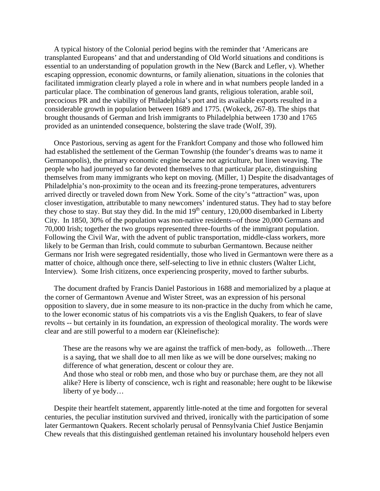A typical history of the Colonial period begins with the reminder that 'Americans are transplanted Europeans' and that and understanding of Old World situations and conditions is essential to an understanding of population growth in the New (Barck and Lefler, v). Whether escaping oppression, economic downturns, or family alienation, situations in the colonies that facilitated immigration clearly played a role in where and in what numbers people landed in a particular place. The combination of generous land grants, religious toleration, arable soil, precocious PR and the viability of Philadelphia's port and its available exports resulted in a considerable growth in population between 1689 and 1775. (Wokeck, 267-8). The ships that brought thousands of German and Irish immigrants to Philadelphia between 1730 and 1765 provided as an unintended consequence, bolstering the slave trade (Wolf, 39).

 Once Pastorious, serving as agent for the Frankfort Company and those who followed him had established the settlement of the German Township (the founder's dreams was to name it Germanopolis), the primary economic engine became not agriculture, but linen weaving. The people who had journeyed so far devoted themselves to that particular place, distinguishing themselves from many immigrants who kept on moving. (Miller, 1) Despite the disadvantages of Philadelphia's non-proximity to the ocean and its freezing-prone temperatures, adventurers arrived directly or traveled down from New York. Some of the city's "attraction" was, upon closer investigation, attributable to many newcomers' indentured status. They had to stay before they chose to stay. But stay they did. In the mid  $19<sup>th</sup>$  century, 120,000 disembarked in Liberty City. In 1850, 30% of the population was non-native residents--of those 20,000 Germans and 70,000 Irish; together the two groups represented three-fourths of the immigrant population. Following the Civil War, with the advent of public transportation, middle-class workers, more likely to be German than Irish, could commute to suburban Germantown. Because neither Germans nor Irish were segregated residentially, those who lived in Germantown were there as a matter of choice, although once there, self-selecting to live in ethnic clusters (Walter Licht, Interview). Some Irish citizens, once experiencing prosperity, moved to farther suburbs.

 The document drafted by Francis Daniel Pastorious in 1688 and memorialized by a plaque at the corner of Germantown Avenue and Wister Street, was an expression of his personal opposition to slavery, due in some measure to its non-practice in the duchy from which he came, to the lower economic status of his compatriots vis a vis the English Quakers, to fear of slave revolts -- but certainly in its foundation, an expression of theological morality. The words were clear and are still powerful to a modern ear (Kleinefische):

These are the reasons why we are against the traffick of men-body, as followeth…There is a saying, that we shall doe to all men like as we will be done ourselves; making no difference of what generation, descent or colour they are.

And those who steal or robb men, and those who buy or purchase them, are they not all alike? Here is liberty of conscience, wch is right and reasonable; here ought to be likewise liberty of ye body…

 Despite their heartfelt statement, apparently little-noted at the time and forgotten for several centuries, the peculiar institution survived and thrived, ironically with the participation of some later Germantown Quakers. Recent scholarly perusal of Pennsylvania Chief Justice Benjamin Chew reveals that this distinguished gentleman retained his involuntary household helpers even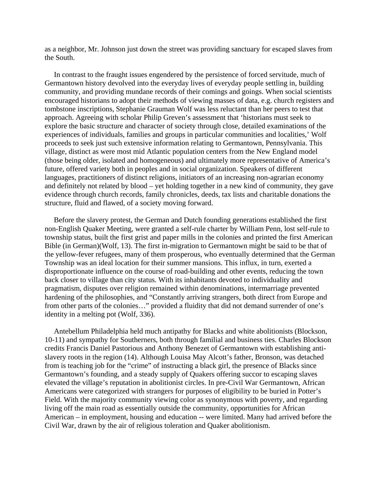as a neighbor, Mr. Johnson just down the street was providing sanctuary for escaped slaves from the South.

 In contrast to the fraught issues engendered by the persistence of forced servitude, much of Germantown history devolved into the everyday lives of everyday people settling in, building community, and providing mundane records of their comings and goings. When social scientists encouraged historians to adopt their methods of viewing masses of data, e.g. church registers and tombstone inscriptions, Stephanie Grauman Wolf was less reluctant than her peers to test that approach. Agreeing with scholar Philip Greven's assessment that 'historians must seek to explore the basic structure and character of society through close, detailed examinations of the experiences of individuals, families and groups in particular communities and localities,' Wolf proceeds to seek just such extensive information relating to Germantown, Pennsylvania. This village, distinct as were most mid Atlantic population centers from the New England model (those being older, isolated and homogeneous) and ultimately more representative of America's future, offered variety both in peoples and in social organization. Speakers of different languages, practitioners of distinct religions, initiators of an increasing non-agrarian economy and definitely not related by blood – yet holding together in a new kind of community, they gave evidence through church records, family chronicles, deeds, tax lists and charitable donations the structure, fluid and flawed, of a society moving forward.

 Before the slavery protest, the German and Dutch founding generations established the first non-English Quaker Meeting, were granted a self-rule charter by William Penn, lost self-rule to township status, built the first grist and paper mills in the colonies and printed the first American Bible (in German)(Wolf, 13). The first in-migration to Germantown might be said to be that of the yellow-fever refugees, many of them prosperous, who eventually determined that the German Township was an ideal location for their summer mansions. This influx, in turn, exerted a disproportionate influence on the course of road-building and other events, reducing the town back closer to village than city status. With its inhabitants devoted to individuality and pragmatism, disputes over religion remained within denominations, intermarriage prevented hardening of the philosophies, and "Constantly arriving strangers, both direct from Europe and from other parts of the colonies…" provided a fluidity that did not demand surrender of one's identity in a melting pot (Wolf, 336).

 Antebellum Philadelphia held much antipathy for Blacks and white abolitionists (Blockson, 10-11) and sympathy for Southerners, both through familial and business ties. Charles Blockson credits Francis Daniel Pastorious and Anthony Benezet of Germantown with establishing antislavery roots in the region (14). Although Louisa May Alcott's father, Bronson, was detached from is teaching job for the "crime" of instructing a black girl, the presence of Blacks since Germantown's founding, and a steady supply of Quakers offering succor to escaping slaves elevated the village's reputation in abolitionist circles. In pre-Civil War Germantown, African Americans were categorized with strangers for purposes of eligibility to be buried in Potter's Field. With the majority community viewing color as synonymous with poverty, and regarding living off the main road as essentially outside the community, opportunities for African American – in employment, housing and education -- were limited. Many had arrived before the Civil War, drawn by the air of religious toleration and Quaker abolitionism.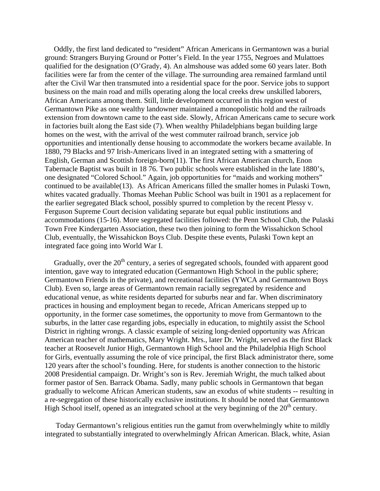Oddly, the first land dedicated to "resident" African Americans in Germantown was a burial ground: Strangers Burying Ground or Potter's Field. In the year 1755, Negroes and Mulattoes qualified for the designation (O'Grady, 4). An almshouse was added some 60 years later. Both facilities were far from the center of the village. The surrounding area remained farmland until after the Civil War then transmuted into a residential space for the poor. Service jobs to support business on the main road and mills operating along the local creeks drew unskilled laborers, African Americans among them. Still, little development occurred in this region west of Germantown Pike as one wealthy landowner maintained a monopolistic hold and the railroads extension from downtown came to the east side. Slowly, African Americans came to secure work in factories built along the East side (7). When wealthy Philadelphians began building large homes on the west, with the arrival of the west commuter railroad branch, service job opportunities and intentionally dense housing to accommodate the workers became available. In 1880, 79 Blacks and 97 Irish-Americans lived in an integrated setting with a smattering of English, German and Scottish foreign-born(11). The first African American church, Enon Tabernacle Baptist was built in 18 76. Two public schools were established in the late 1880's, one designated "Colored School." Again, job opportunities for "maids and working mothers" continued to be available(13). As African Americans filled the smaller homes in Pulaski Town, whites vacated gradually. Thomas Meehan Public School was built in 1901 as a replacement for the earlier segregated Black school, possibly spurred to completion by the recent Plessy v. Ferguson Supreme Court decision validating separate but equal public institutions and accommodations (15-16). More segregated facilities followed: the Penn School Club, the Pulaski Town Free Kindergarten Association, these two then joining to form the Wissahickon School Club, eventually, the Wissahickon Boys Club. Despite these events, Pulaski Town kept an integrated face going into World War I.

Gradually, over the  $20<sup>th</sup>$  century, a series of segregated schools, founded with apparent good intention, gave way to integrated education (Germantown High School in the public sphere; Germantown Friends in the private), and recreational facilities (YWCA and Germantown Boys Club). Even so, large areas of Germantown remain racially segregated by residence and educational venue, as white residents departed for suburbs near and far. When discriminatory practices in housing and employment began to recede, African Americans stepped up to opportunity, in the former case sometimes, the opportunity to move from Germantown to the suburbs, in the latter case regarding jobs, especially in education, to mightily assist the School District in righting wrongs. A classic example of seizing long-denied opportunity was African American teacher of mathematics, Mary Wright. Mrs., later Dr. Wright, served as the first Black teacher at Roosevelt Junior High, Germantown High School and the Philadelphia High School for Girls, eventually assuming the role of vice principal, the first Black administrator there, some 120 years after the school's founding. Here, for students is another connection to the historic 2008 Presidential campaign. Dr. Wright's son is Rev. Jeremiah Wright, the much talked about former pastor of Sen. Barrack Obama. Sadly, many public schools in Germantown that began gradually to welcome African American students, saw an exodus of white students -- resulting in a re-segregation of these historically exclusive institutions. It should be noted that Germantown High School itself, opened as an integrated school at the very beginning of the  $20<sup>th</sup>$  century.

 Today Germantown's religious entities run the gamut from overwhelmingly white to mildly integrated to substantially integrated to overwhelmingly African American. Black, white, Asian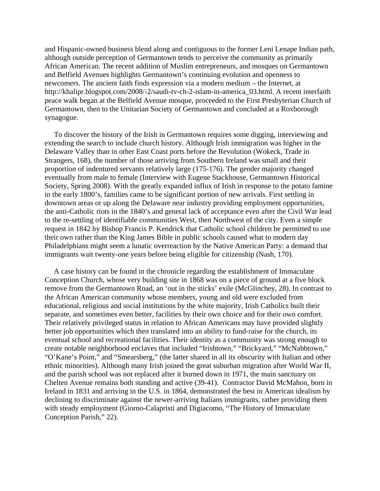and Hispanic-owned business blend along and contiguous to the former Leni Lenape Indian path, although outside perception of Germantown tends to perceive the community as primarily African American. The recent addition of Muslim entrepreneurs, and mosques on Germantown and Belfield Avenues highlights Germantown's continuing evolution and openness to newcomers. The ancient faith finds expression via a modern medium – the Internet, at http://khalipr.blogspot.com/2008/-2/saudi-tv-ch-2-islam-in-america\_03.html. A recent interfaith peace walk began at the Belfield Avenue mosque, proceeded to the First Presbyterian Church of Germantown, then to the Unitarian Society of Germantown and concluded at a Roxborough synagogue.

 To discover the history of the Irish in Germantown requires some digging, interviewing and extending the search to include church history. Although Irish immigration was higher in the Delaware Valley than in other East Coast ports before the Revolution (Wokeck, Trade in Strangers, 168), the number of those arriving from Southern Ireland was small and their proportion of indentured servants relatively large (175-176). The gender majority changed eventually from male to female (Interview with Eugene Stackhouse, Germantown Historical Society, Spring 2008). With the greatly expanded influx of Irish in response to the potato famine in the early 1800's, families came to be significant portion of new arrivals. First settling in downtown areas or up along the Delaware near industry providing employment opportunities, the anti-Catholic riots in the 1840's and general lack of acceptance even after the Civil War lead to the re-settling of identifiable communities West, then Northwest of the city. Even a simple request in 1842 by Bishop Francis P. Kendrick that Catholic school children be permitted to use their own rather than the King James Bible in public schools caused what to modern day Philadelphians might seem a lunatic overreaction by the Native American Party: a demand that immigrants wait twenty-one years before being eligible for citizenship (Nash, 170).

 A case history can be found in the chronicle regarding the establishment of Immaculate Conception Church, whose very building site in 1868 was on a piece of ground at a five block remove from the Germantown Road, an 'out in the sticks' exile (McGlinchey, 28). In contrast to the African American community whose members, young and old were excluded from educational, religious and social institutions by the white majority, Irish Catholics built their separate, and sometimes even better, facilities by their own choice and for their own comfort. Their relatively privileged status in relation to African Americans may have provided slightly better job opportunities which then translated into an ability to fund-raise for the church, its eventual school and recreational facilities. Their identity as a community was strong enough to create notable neighborhood enclaves that included "Irishtown," "Brickyard," "McNabbtown," "O'Kane's Point," and "Smearsberg," (the latter shared in all its obscurity with Italian and other ethnic minorities). Although many Irish joined the great suburban migration after World War II, and the parish school was not replaced after it burned down in 1971, the main sanctuary on Chelten Avenue remains both standing and active (39-41). Contractor David McMahon, born in Ireland in 1831 and arriving in the U.S. in 1864, demonstrated the best in American idealism by declining to discriminate against the newer-arriving Italians immigrants, rather providing them with steady employment (Giorno-Calapristi and Digiacomo, "The History of Immaculate Conception Parish," 22).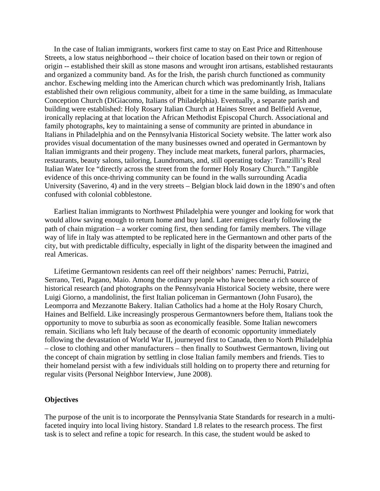In the case of Italian immigrants, workers first came to stay on East Price and Rittenhouse Streets, a low status neighborhood -- their choice of location based on their town or region of origin -- established their skill as stone masons and wrought iron artisans, established restaurants and organized a community band. As for the Irish, the parish church functioned as community anchor. Eschewing melding into the American church which was predominantly Irish, Italians established their own religious community, albeit for a time in the same building, as Immaculate Conception Church (DiGiacomo, Italians of Philadelphia). Eventually, a separate parish and building were established: Holy Rosary Italian Church at Haines Street and Belfield Avenue, ironically replacing at that location the African Methodist Episcopal Church. Associational and family photographs, key to maintaining a sense of community are printed in abundance in Italians in Philadelphia and on the Pennsylvania Historical Society website. The latter work also provides visual documentation of the many businesses owned and operated in Germantown by Italian immigrants and their progeny. They include meat markets, funeral parlors, pharmacies, restaurants, beauty salons, tailoring, Laundromats, and, still operating today: Tranzilli's Real Italian Water Ice "directly across the street from the former Holy Rosary Church." Tangible evidence of this once-thriving community can be found in the walls surrounding Acadia University (Saverino, 4) and in the very streets – Belgian block laid down in the 1890's and often confused with colonial cobblestone.

 Earliest Italian immigrants to Northwest Philadelphia were younger and looking for work that would allow saving enough to return home and buy land. Later emigres clearly following the path of chain migration – a worker coming first, then sending for family members. The village way of life in Italy was attempted to be replicated here in the Germantown and other parts of the city, but with predictable difficulty, especially in light of the disparity between the imagined and real Americas.

 Lifetime Germantown residents can reel off their neighbors' names: Perruchi, Patrizi, Serrano, Teti, Pagano, Maio. Among the ordinary people who have become a rich source of historical research (and photographs on the Pennsylvania Historical Society website, there were Luigi Giorno, a mandolinist, the first Italian policeman in Germantown (John Fusaro), the Leomporra and Mezzanotte Bakery. Italian Catholics had a home at the Holy Rosary Church, Haines and Belfield. Like increasingly prosperous Germantowners before them, Italians took the opportunity to move to suburbia as soon as economically feasible. Some Italian newcomers remain. Sicilians who left Italy because of the dearth of economic opportunity immediately following the devastation of World War II, journeyed first to Canada, then to North Philadelphia – close to clothing and other manufacturers – then finally to Southwest Germantown, living out the concept of chain migration by settling in close Italian family members and friends. Ties to their homeland persist with a few individuals still holding on to property there and returning for regular visits (Personal Neighbor Interview, June 2008).

#### **Objectives**

The purpose of the unit is to incorporate the Pennsylvania State Standards for research in a multifaceted inquiry into local living history. Standard 1.8 relates to the research process. The first task is to select and refine a topic for research. In this case, the student would be asked to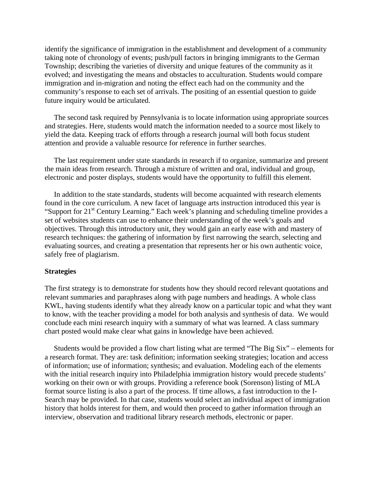identify the significance of immigration in the establishment and development of a community taking note of chronology of events; push/pull factors in bringing immigrants to the German Township; describing the varieties of diversity and unique features of the community as it evolved; and investigating the means and obstacles to acculturation. Students would compare immigration and in-migration and noting the effect each had on the community and the community's response to each set of arrivals. The positing of an essential question to guide future inquiry would be articulated.

 The second task required by Pennsylvania is to locate information using appropriate sources and strategies. Here, students would match the information needed to a source most likely to yield the data. Keeping track of efforts through a research journal will both focus student attention and provide a valuable resource for reference in further searches.

 The last requirement under state standards in research if to organize, summarize and present the main ideas from research. Through a mixture of written and oral, individual and group, electronic and poster displays, students would have the opportunity to fulfill this element.

 In addition to the state standards, students will become acquainted with research elements found in the core curriculum. A new facet of language arts instruction introduced this year is "Support for 21<sup>st</sup> Century Learning." Each week's planning and scheduling timeline provides a set of websites students can use to enhance their understanding of the week's goals and objectives. Through this introductory unit, they would gain an early ease with and mastery of research techniques: the gathering of information by first narrowing the search, selecting and evaluating sources, and creating a presentation that represents her or his own authentic voice, safely free of plagiarism.

#### **Strategies**

The first strategy is to demonstrate for students how they should record relevant quotations and relevant summaries and paraphrases along with page numbers and headings. A whole class KWL, having students identify what they already know on a particular topic and what they want to know, with the teacher providing a model for both analysis and synthesis of data. We would conclude each mini research inquiry with a summary of what was learned. A class summary chart posted would make clear what gains in knowledge have been achieved.

 Students would be provided a flow chart listing what are termed "The Big Six" – elements for a research format. They are: task definition; information seeking strategies; location and access of information; use of information; synthesis; and evaluation. Modeling each of the elements with the initial research inquiry into Philadelphia immigration history would precede students' working on their own or with groups. Providing a reference book (Sorenson) listing of MLA format source listing is also a part of the process. If time allows, a fast introduction to the I-Search may be provided. In that case, students would select an individual aspect of immigration history that holds interest for them, and would then proceed to gather information through an interview, observation and traditional library research methods, electronic or paper.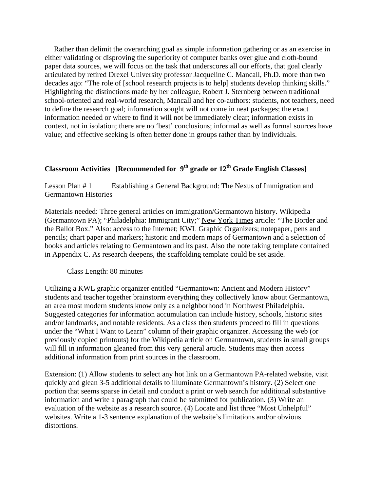Rather than delimit the overarching goal as simple information gathering or as an exercise in either validating or disproving the superiority of computer banks over glue and cloth-bound paper data sources, we will focus on the task that underscores all our efforts, that goal clearly articulated by retired Drexel University professor Jacqueline C. Mancall, Ph.D. more than two decades ago: "The role of [school research projects is to help] students develop thinking skills." Highlighting the distinctions made by her colleague, Robert J. Sternberg between traditional school-oriented and real-world research, Mancall and her co-authors: students, not teachers, need to define the research goal; information sought will not come in neat packages; the exact information needed or where to find it will not be immediately clear; information exists in context, not in isolation; there are no 'best' conclusions; informal as well as formal sources have value; and effective seeking is often better done in groups rather than by individuals.

# **Classroom Activities [Recommended for 9th grade or 12th Grade English Classes]**

Lesson Plan # 1 Establishing a General Background: The Nexus of Immigration and Germantown Histories

Materials needed: Three general articles on immigration/Germantown history. Wikipedia (Germantown PA); "Philadelphia: Immigrant City;" New York Times article: "The Border and the Ballot Box." Also: access to the Internet; KWL Graphic Organizers; notepaper, pens and pencils; chart paper and markers; historic and modern maps of Germantown and a selection of books and articles relating to Germantown and its past. Also the note taking template contained in Appendix C. As research deepens, the scaffolding template could be set aside.

## Class Length: 80 minutes

Utilizing a KWL graphic organizer entitled "Germantown: Ancient and Modern History" students and teacher together brainstorm everything they collectively know about Germantown, an area most modern students know only as a neighborhood in Northwest Philadelphia. Suggested categories for information accumulation can include history, schools, historic sites and/or landmarks, and notable residents. As a class then students proceed to fill in questions under the "What I Want to Learn" column of their graphic organizer. Accessing the web (or previously copied printouts) for the Wikipedia article on Germantown, students in small groups will fill in information gleaned from this very general article. Students may then access additional information from print sources in the classroom.

Extension: (1) Allow students to select any hot link on a Germantown PA-related website, visit quickly and glean 3-5 additional details to illuminate Germantown's history. (2) Select one portion that seems sparse in detail and conduct a print or web search for additional substantive information and write a paragraph that could be submitted for publication. (3) Write an evaluation of the website as a research source. (4) Locate and list three "Most Unhelpful" websites. Write a 1-3 sentence explanation of the website's limitations and/or obvious distortions.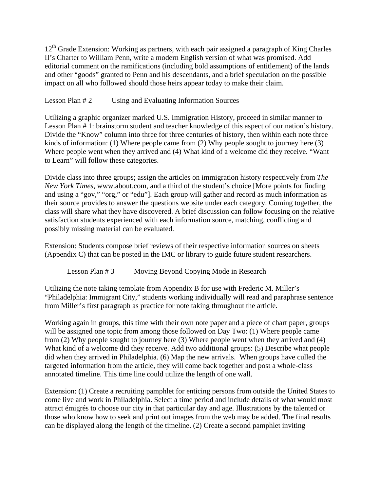12<sup>th</sup> Grade Extension: Working as partners, with each pair assigned a paragraph of King Charles II's Charter to William Penn, write a modern English version of what was promised. Add editorial comment on the ramifications (including bold assumptions of entitlement) of the lands and other "goods" granted to Penn and his descendants, and a brief speculation on the possible impact on all who followed should those heirs appear today to make their claim.

## Lesson Plan # 2 Using and Evaluating Information Sources

Utilizing a graphic organizer marked U.S. Immigration History, proceed in similar manner to Lesson Plan # 1: brainstorm student and teacher knowledge of this aspect of our nation's history. Divide the "Know" column into three for three centuries of history, then within each note three kinds of information: (1) Where people came from (2) Why people sought to journey here (3) Where people went when they arrived and (4) What kind of a welcome did they receive. "Want to Learn" will follow these categories.

Divide class into three groups; assign the articles on immigration history respectively from *The New York Times*, www.about.com, and a third of the student's choice [More points for finding and using a "gov," "org," or "edu"]. Each group will gather and record as much information as their source provides to answer the questions website under each category. Coming together, the class will share what they have discovered. A brief discussion can follow focusing on the relative satisfaction students experienced with each information source, matching, conflicting and possibly missing material can be evaluated.

Extension: Students compose brief reviews of their respective information sources on sheets (Appendix C) that can be posted in the IMC or library to guide future student researchers.

Lesson Plan # 3 Moving Beyond Copying Mode in Research

Utilizing the note taking template from Appendix B for use with Frederic M. Miller's "Philadelphia: Immigrant City," students working individually will read and paraphrase sentence from Miller's first paragraph as practice for note taking throughout the article.

Working again in groups, this time with their own note paper and a piece of chart paper, groups will be assigned one topic from among those followed on Day Two: (1) Where people came from (2) Why people sought to journey here (3) Where people went when they arrived and (4) What kind of a welcome did they receive. Add two additional groups: (5) Describe what people did when they arrived in Philadelphia. (6) Map the new arrivals. When groups have culled the targeted information from the article, they will come back together and post a whole-class annotated timeline. This time line could utilize the length of one wall.

Extension: (1) Create a recruiting pamphlet for enticing persons from outside the United States to come live and work in Philadelphia. Select a time period and include details of what would most attract émigrés to choose our city in that particular day and age. Illustrations by the talented or those who know how to seek and print out images from the web may be added. The final results can be displayed along the length of the timeline. (2) Create a second pamphlet inviting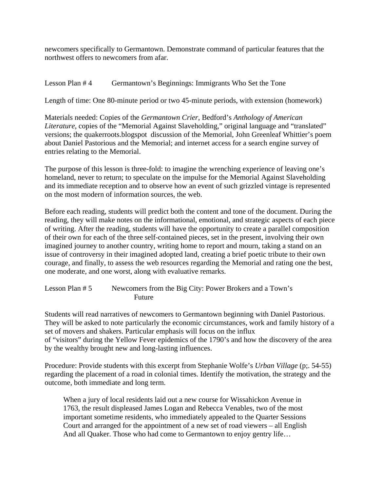newcomers specifically to Germantown. Demonstrate command of particular features that the northwest offers to newcomers from afar.

## Lesson Plan # 4 Germantown's Beginnings: Immigrants Who Set the Tone

Length of time: One 80-minute period or two 45-minute periods, with extension (homework)

Materials needed: Copies of the *Germantown Crier*, Bedford's *Anthology of American Literature*, copies of the "Memorial Against Slaveholding," original language and "translated" versions; the quakerroots.blogspot discussion of the Memorial, John Greenleaf Whittier's poem about Daniel Pastorious and the Memorial; and internet access for a search engine survey of entries relating to the Memorial.

The purpose of this lesson is three-fold: to imagine the wrenching experience of leaving one's homeland, never to return; to speculate on the impulse for the Memorial Against Slaveholding and its immediate reception and to observe how an event of such grizzled vintage is represented on the most modern of information sources, the web.

Before each reading, students will predict both the content and tone of the document. During the reading, they will make notes on the informational, emotional, and strategic aspects of each piece of writing. After the reading, students will have the opportunity to create a parallel composition of their own for each of the three self-contained pieces, set in the present, involving their own imagined journey to another country, writing home to report and mourn, taking a stand on an issue of controversy in their imagined adopted land, creating a brief poetic tribute to their own courage, and finally, to assess the web resources regarding the Memorial and rating one the best, one moderate, and one worst, along with evaluative remarks.

Lesson Plan # 5 Newcomers from the Big City: Power Brokers and a Town's Future

Students will read narratives of newcomers to Germantown beginning with Daniel Pastorious. They will be asked to note particularly the economic circumstances, work and family history of a set of movers and shakers. Particular emphasis will focus on the influx of "visitors" during the Yellow Fever epidemics of the 1790's and how the discovery of the area by the wealthy brought new and long-lasting influences.

Procedure: Provide students with this excerpt from Stephanie Wolfe's *Urban Village* (p;. 54-55) regarding the placement of a road in colonial times. Identify the motivation, the strategy and the outcome, both immediate and long term.

 When a jury of local residents laid out a new course for Wissahickon Avenue in 1763, the result displeased James Logan and Rebecca Venables, two of the most important sometime residents, who immediately appealed to the Quarter Sessions Court and arranged for the appointment of a new set of road viewers – all English And all Quaker. Those who had come to Germantown to enjoy gentry life…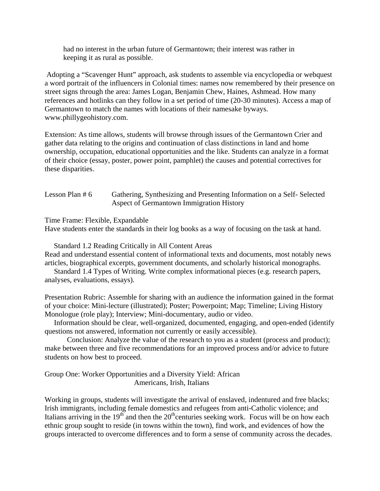had no interest in the urban future of Germantown; their interest was rather in keeping it as rural as possible.

 Adopting a "Scavenger Hunt" approach, ask students to assemble via encyclopedia or webquest a word portrait of the influencers in Colonial times: names now remembered by their presence on street signs through the area: James Logan, Benjamin Chew, Haines, Ashmead. How many references and hotlinks can they follow in a set period of time (20-30 minutes). Access a map of Germantown to match the names with locations of their namesake byways. www.phillygeohistory.com.

Extension: As time allows, students will browse through issues of the Germantown Crier and gather data relating to the origins and continuation of class distinctions in land and home ownership, occupation, educational opportunities and the like. Students can analyze in a format of their choice (essay, poster, power point, pamphlet) the causes and potential correctives for these disparities.

| Lesson Plan # $6$ | Gathering, Synthesizing and Presenting Information on a Self-Selected |
|-------------------|-----------------------------------------------------------------------|
|                   | Aspect of Germantown Immigration History                              |

Time Frame: Flexible, Expandable

Have students enter the standards in their log books as a way of focusing on the task at hand.

 Standard 1.2 Reading Critically in All Content Areas Read and understand essential content of informational texts and documents, most notably news articles, biographical excerpts, government documents, and scholarly historical monographs.

 Standard 1.4 Types of Writing. Write complex informational pieces (e.g. research papers, analyses, evaluations, essays).

Presentation Rubric: Assemble for sharing with an audience the information gained in the format of your choice: Mini-lecture (illustrated); Poster; Powerpoint; Map; Timeline; Living History Monologue (role play); Interview; Mini-documentary, audio or video.

 Information should be clear, well-organized, documented, engaging, and open-ended (identify questions not answered, information not currently or easily accessible).

 Conclusion: Analyze the value of the research to you as a student (process and product); make between three and five recommendations for an improved process and/or advice to future students on how best to proceed.

Group One: Worker Opportunities and a Diversity Yield: African Americans, Irish, Italians

 Working in groups, students will investigate the arrival of enslaved, indentured and free blacks; Irish immigrants, including female domestics and refugees from anti-Catholic violence; and Italians arriving in the  $19<sup>th</sup>$  and then the  $20<sup>th</sup>$  centuries seeking work. Focus will be on how each ethnic group sought to reside (in towns within the town), find work, and evidences of how the groups interacted to overcome differences and to form a sense of community across the decades.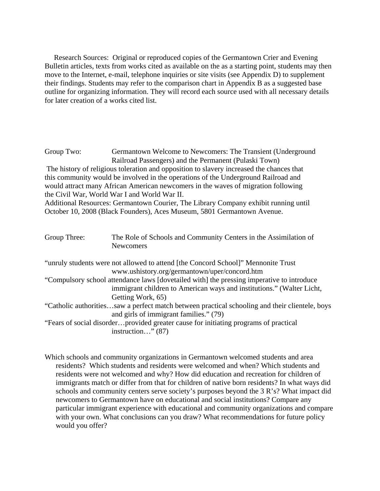Research Sources: Original or reproduced copies of the Germantown Crier and Evening Bulletin articles, texts from works cited as available on the as a starting point, students may then move to the Internet, e-mail, telephone inquiries or site visits (see Appendix D) to supplement their findings. Students may refer to the comparison chart in Appendix B as a suggested base outline for organizing information. They will record each source used with all necessary details for later creation of a works cited list.

Group Two: Germantown Welcome to Newcomers: The Transient (Underground Railroad Passengers) and the Permanent (Pulaski Town) The history of religious toleration and opposition to slavery increased the chances that this community would be involved in the operations of the Underground Railroad and would attract many African American newcomers in the waves of migration following the Civil War, World War I and World War II. Additional Resources: Germantown Courier, The Library Company exhibit running until October 10, 2008 (Black Founders), Aces Museum, 5801 Germantown Avenue.

| Group Three: | The Role of Schools and Community Centers in the Assimilation of<br><b>Newcomers</b>                                               |
|--------------|------------------------------------------------------------------------------------------------------------------------------------|
|              | "unruly students were not allowed to attend [the Concord School]" Mennonite Trust<br>www.ushistory.org/germantown/uper/concord.htm |
|              |                                                                                                                                    |
|              | "Compulsory school attendance laws [dovetailed with] the pressing imperative to introduce                                          |
|              | immigrant children to American ways and institutions." (Walter Licht,                                                              |
|              | Getting Work, 65)                                                                                                                  |
|              | "Catholic authoritiessaw a perfect match between practical schooling and their clientele, boys                                     |
|              | and girls of immigrant families." (79)                                                                                             |
|              | "Fears of social disorderprovided greater cause for initiating programs of practical                                               |
|              | instruction" $(87)$                                                                                                                |

Which schools and community organizations in Germantown welcomed students and area residents? Which students and residents were welcomed and when? Which students and residents were not welcomed and why? How did education and recreation for children of immigrants match or differ from that for children of native born residents? In what ways did schools and community centers serve society's purposes beyond the 3 R's? What impact did newcomers to Germantown have on educational and social institutions? Compare any particular immigrant experience with educational and community organizations and compare with your own. What conclusions can you draw? What recommendations for future policy would you offer?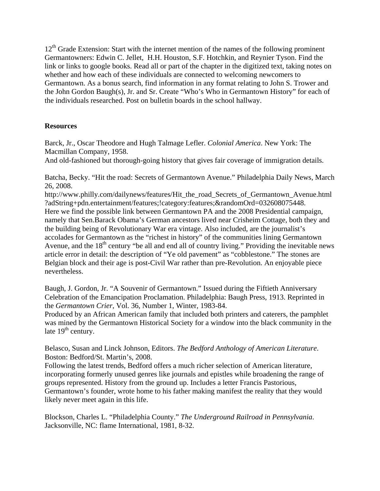$12<sup>th</sup>$  Grade Extension: Start with the internet mention of the names of the following prominent Germantowners: Edwin C. Jellet, H.H. Houston, S.F. Hotchkin, and Reynier Tyson. Find the link or links to google books. Read all or part of the chapter in the digitized text, taking notes on whether and how each of these individuals are connected to welcoming newcomers to Germantown. As a bonus search, find information in any format relating to John S. Trower and the John Gordon Baugh(s), Jr. and Sr. Create "Who's Who in Germantown History" for each of the individuals researched. Post on bulletin boards in the school hallway.

## **Resources**

Barck, Jr., Oscar Theodore and Hugh Talmage Lefler. *Colonial America*. New York: The Macmillan Company, 1958.

And old-fashioned but thorough-going history that gives fair coverage of immigration details.

Batcha, Becky. "Hit the road: Secrets of Germantown Avenue." Philadelphia Daily News, March 26, 2008.

http://www.philly.com/dailynews/features/Hit\_the\_road\_Secrets\_of\_Germantown\_Avenue.html ?adString+pdn.entertainment/features;!category:features;&randomOrd=032608075448. Here we find the possible link between Germantown PA and the 2008 Presidential campaign, namely that Sen.Barack Obama's German ancestors lived near Crisheim Cottage, both they and the building being of Revolutionary War era vintage. Also included, are the journalist's accolades for Germantown as the "richest in history" of the communities lining Germantown Avenue, and the  $18<sup>th</sup>$  century "be all and end all of country living." Providing the inevitable news article error in detail: the description of "Ye old pavement" as "cobblestone." The stones are Belgian block and their age is post-Civil War rather than pre-Revolution. An enjoyable piece nevertheless.

Baugh, J. Gordon, Jr. "A Souvenir of Germantown." Issued during the Fiftieth Anniversary Celebration of the Emancipation Proclamation. Philadelphia: Baugh Press, 1913. Reprinted in the *Germantown Crier*, Vol. 36, Number 1, Winter, 1983-84.

Produced by an African American family that included both printers and caterers, the pamphlet was mined by the Germantown Historical Society for a window into the black community in the late  $19<sup>th</sup>$  century.

Belasco, Susan and Linck Johnson, Editors. *The Bedford Anthology of American Literature*. Boston: Bedford/St. Martin's, 2008.

Following the latest trends, Bedford offers a much richer selection of American literature, incorporating formerly unused genres like journals and epistles while broadening the range of groups represented. History from the ground up. Includes a letter Francis Pastorious, Germantown's founder, wrote home to his father making manifest the reality that they would likely never meet again in this life.

Blockson, Charles L. "Philadelphia County." *The Underground Railroad in Pennsylvania*. Jacksonville, NC: flame International, 1981, 8-32.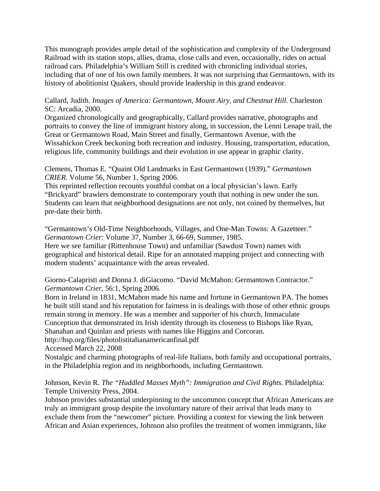This monograph provides ample detail of the sophistication and complexity of the Underground Railroad with its station stops, allies, drama, close calls and even, occasionally, rides on actual railroad cars. Philadelphia's William Still is credited with chronicling individual stories, including that of one of his own family members. It was not surprising that Germantown, with its history of abolitionist Quakers, should provide leadership in this grand endeavor.

Callard, Judith. *Images of America: Germantown, Mount Airy, and Chestnut Hill.* Charleston SC: Arcadia, 2000.

Organized chronologically and geographically, Callard provides narrative, photographs and portraits to convey the line of immigrant history along, in succession, the Lenni Lenape trail, the Great or Germantown Road, Main Street and finally, Germantown Avenue, with the Wissahickon Creek beckoning both recreation and industry. Housing, transportation, education, religious life, community buildings and their evolution in use appear in graphic clarity.

Clemens, Thomas E. "Quaint Old Landmarks in East Germantown (1939)." *Germantown CRIER*. Volume 56, Number 1, Spring 2006.

This reprinted reflection recounts youthful combat on a local physician's lawn. Early "Brickyard" brawlers demonstrate to contemporary youth that nothing is new under the sun. Students can learn that neighborhood designations are not only, not coined by themselves, but pre-date their birth.

"Germantown's Old-Time Neighborhoods, Villages, and One-Man Towns: A Gazetteer." *Germantown Crier*: Volume 37, Number 3, 66-69, Summer, 1985. Here we see familiar (Rittenhouse Town) and unfamiliar (Sawdust Town) names with geographical and historical detail. Ripe for an annotated mapping project and connecting with modern students' acquaintance with the areas revealed.

Giorno-Calapristi and Donna J. diGiacomo. "David McMahon: Germantown Contractor." *Germantown Crier*, 56:1, Spring 2006.

Born in Ireland in 1831, McMahon made his name and fortune in Germantown PA. The homes he built still stand and his reputation for fairness in is dealings with those of other ethnic groups remain strong in memory. He was a member and supporter of his church, Immaculate Conception that demonstrated its Irish identity through its closeness to Bishops like Ryan,

Shanahan and Quinlan and priests with names like Higgins and Corcoran.

http://hsp.org/files/photolistitalianamericanfinal.pdf

Accessed March 22, 2008

Nostalgic and charming photographs of real-life Italians, both family and occupational portraits, in the Philadelphia region and its neighborhoods, including Germantown.

Johnson, Kevin R. *The "Huddled Masses Myth": Immigration and Civil Rights*. Philadelphia: Temple University Press, 2004.

Johnson provides substantial underpinning to the uncommon concept that African Americans are truly an immigrant group despite the involuntary nature of their arrival that leads many to exclude them from the "newcomer" picture. Providing a context for viewing the link between African and Asian experiences, Johnson also profiles the treatment of women immigrants, like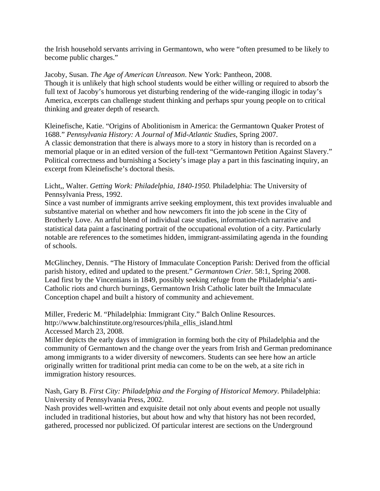the Irish household servants arriving in Germantown, who were "often presumed to be likely to become public charges."

Jacoby, Susan. *The Age of American Unreason*. New York: Pantheon, 2008. Though it is unlikely that high school students would be either willing or required to absorb the full text of Jacoby's humorous yet disturbing rendering of the wide-ranging illogic in today's America, excerpts can challenge student thinking and perhaps spur young people on to critical thinking and greater depth of research.

Kleinefische, Katie. "Origins of Abolitionism in America: the Germantown Quaker Protest of 1688." *Pennsylvania History: A Journal of Mid-Atlantic Studies*, Spring 2007. A classic demonstration that there is always more to a story in history than is recorded on a memorial plaque or in an edited version of the full-text "Germantown Petition Against Slavery." Political correctness and burnishing a Society's image play a part in this fascinating inquiry, an excerpt from Kleinefische's doctoral thesis.

Licht,, Walter. *Getting Work: Philadelphia, 1840-1950.* Philadelphia: The University of Pennsylvania Press, 1992.

Since a vast number of immigrants arrive seeking employment, this text provides invaluable and substantive material on whether and how newcomers fit into the job scene in the City of Brotherly Love. An artful blend of individual case studies, information-rich narrative and statistical data paint a fascinating portrait of the occupational evolution of a city. Particularly notable are references to the sometimes hidden, immigrant-assimilating agenda in the founding of schools.

McGlinchey, Dennis. "The History of Immaculate Conception Parish: Derived from the official parish history, edited and updated to the present." *Germantown Crier*. 58:1, Spring 2008. Lead first by the Vincentians in 1849, possibly seeking refuge from the Philadelphia's anti-Catholic riots and church burnings, Germantown Irish Catholic later built the Immaculate Conception chapel and built a history of community and achievement.

Miller, Frederic M. "Philadelphia: Immigrant City." Balch Online Resources. http://www.balchinstitute.org/resources/phila\_ellis\_island.html Accessed March 23, 2008.

Miller depicts the early days of immigration in forming both the city of Philadelphia and the community of Germantown and the change over the years from Irish and German predominance among immigrants to a wider diversity of newcomers. Students can see here how an article originally written for traditional print media can come to be on the web, at a site rich in immigration history resources.

Nash, Gary B. *First City: Philadelphia and the Forging of Historical Memory*. Philadelphia: University of Pennsylvania Press, 2002.

Nash provides well-written and exquisite detail not only about events and people not usually included in traditional histories, but about how and why that history has not been recorded, gathered, processed nor publicized. Of particular interest are sections on the Underground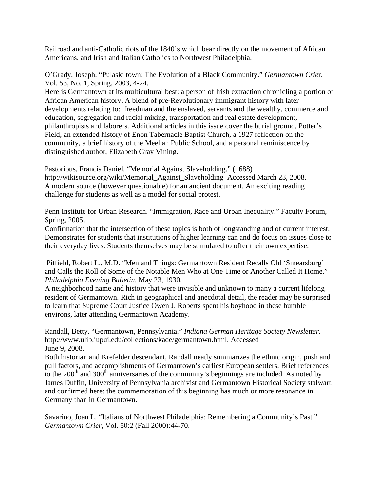Railroad and anti-Catholic riots of the 1840's which bear directly on the movement of African Americans, and Irish and Italian Catholics to Northwest Philadelphia.

O'Grady, Joseph. "Pulaski town: The Evolution of a Black Community." *Germantown Crie*r, Vol. 53, No. 1, Spring, 2003, 4-24.

Here is Germantown at its multicultural best: a person of Irish extraction chronicling a portion of African American history. A blend of pre-Revolutionary immigrant history with later developments relating to: freedman and the enslaved, servants and the wealthy, commerce and education, segregation and racial mixing, transportation and real estate development, philanthropists and laborers. Additional articles in this issue cover the burial ground, Potter's Field, an extended history of Enon Tabernacle Baptist Church, a 1927 reflection on the community, a brief history of the Meehan Public School, and a personal reminiscence by distinguished author, Elizabeth Gray Vining.

Pastorious, Francis Daniel. "Memorial Against Slaveholding." (1688) http://wikisource.org/wiki/Memorial\_Against\_Slaveholding Accessed March 23, 2008. A modern source (however questionable) for an ancient document. An exciting reading challenge for students as well as a model for social protest.

Penn Institute for Urban Research. "Immigration, Race and Urban Inequality." Faculty Forum, Spring, 2005.

Confirmation that the intersection of these topics is both of longstanding and of current interest. Demonstrates for students that institutions of higher learning can and do focus on issues close to their everyday lives. Students themselves may be stimulated to offer their own expertise.

 Pitfield, Robert L., M.D. "Men and Things: Germantown Resident Recalls Old 'Smearsburg' and Calls the Roll of Some of the Notable Men Who at One Time or Another Called It Home." *Philadelphia Evening Bulletin*, May 23, 1930.

A neighborhood name and history that were invisible and unknown to many a current lifelong resident of Germantown. Rich in geographical and anecdotal detail, the reader may be surprised to learn that Supreme Court Justice Owen J. Roberts spent his boyhood in these humble environs, later attending Germantown Academy.

Randall, Betty. "Germantown, Pennsylvania." *Indiana German Heritage Society Newsletter*. http://www.ulib.iupui.edu/collections/kade/germantown.html. Accessed June 9, 2008.

Both historian and Krefelder descendant, Randall neatly summarizes the ethnic origin, push and pull factors, and accomplishments of Germantown's earliest European settlers. Brief references to the  $200<sup>th</sup>$  and  $300<sup>th</sup>$  anniversaries of the community's beginnings are included. As noted by James Duffin, University of Pennsylvania archivist and Germantown Historical Society stalwart, and confirmed here: the commemoration of this beginning has much or more resonance in Germany than in Germantown.

Savarino, Joan L. "Italians of Northwest Philadelphia: Remembering a Community's Past." *Germantown Crier*, Vol. 50:2 (Fall 2000):44-70.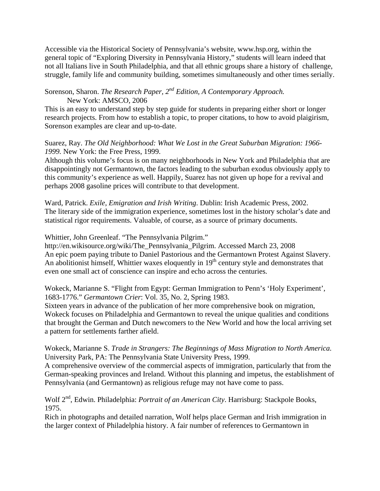Accessible via the Historical Society of Pennsylvania's website, www.hsp.org, within the general topic of "Exploring Diversity in Pennsylvania History," students will learn indeed that not all Italians live in South Philadelphia, and that all ethnic groups share a history of challenge, struggle, family life and community building, sometimes simultaneously and other times serially.

## Sorenson, Sharon. *The Research Paper, 2nd Edition, A Contemporary Approach.* New York: AMSCO, 2006

This is an easy to understand step by step guide for students in preparing either short or longer research projects. From how to establish a topic, to proper citations, to how to avoid plaigirism, Sorenson examples are clear and up-to-date.

## Suarez, Ray. *The Old Neighborhood: What We Lost in the Great Suburban Migration: 1966- 1999.* New York: the Free Press, 1999.

Although this volume's focus is on many neighborhoods in New York and Philadelphia that are disappointingly not Germantown, the factors leading to the suburban exodus obviously apply to this community's experience as well. Happily, Suarez has not given up hope for a revival and perhaps 2008 gasoline prices will contribute to that development.

Ward, Patrick. *Exile, Emigration and Irish Writing*. Dublin: Irish Academic Press, 2002. The literary side of the immigration experience, sometimes lost in the history scholar's date and statistical rigor requirements. Valuable, of course, as a source of primary documents.

Whittier, John Greenleaf. "The Pennsylvania Pilgrim."

http://en.wikisource.org/wiki/The\_Pennsylvania\_Pilgrim. Accessed March 23, 2008 An epic poem paying tribute to Daniel Pastorious and the Germantown Protest Against Slavery. An abolitionist himself, Whittier waxes eloquently in 19<sup>th</sup> century style and demonstrates that even one small act of conscience can inspire and echo across the centuries.

Wokeck, Marianne S. "Flight from Egypt: German Immigration to Penn's 'Holy Experiment', 1683-1776." *Germantown Crier*: Vol. 35, No. 2, Spring 1983.

Sixteen years in advance of the publication of her more comprehensive book on migration, Wokeck focuses on Philadelphia and Germantown to reveal the unique qualities and conditions that brought the German and Dutch newcomers to the New World and how the local arriving set a pattern for settlements farther afield.

## Wokeck, Marianne S. *Trade in Strangers: The Beginnings of Mass Migration to North America.* University Park, PA: The Pennsylvania State University Press, 1999.

A comprehensive overview of the commercial aspects of immigration, particularly that from the German-speaking provinces and Ireland. Without this planning and impetus, the establishment of Pennsylvania (and Germantown) as religious refuge may not have come to pass.

Wolf 2<sup>nd</sup>, Edwin. Philadelphia: *Portrait of an American City*. Harrisburg: Stackpole Books, 1975.

Rich in photographs and detailed narration, Wolf helps place German and Irish immigration in the larger context of Philadelphia history. A fair number of references to Germantown in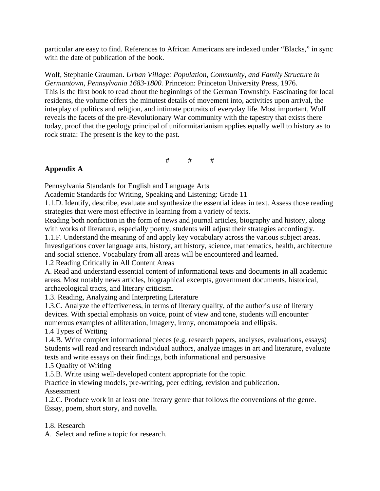particular are easy to find. References to African Americans are indexed under "Blacks," in sync with the date of publication of the book.

Wolf, Stephanie Grauman. *Urban Village: Population, Community, and Family Structure in Germantown, Pennsylvania 1683-1800.* Princeton: Princeton University Press, 1976. This is the first book to read about the beginnings of the German Township. Fascinating for local residents, the volume offers the minutest details of movement into, activities upon arrival, the interplay of politics and religion, and intimate portraits of everyday life. Most important, Wolf reveals the facets of the pre-Revolutionary War community with the tapestry that exists there today, proof that the geology principal of uniformitarianism applies equally well to history as to rock strata: The present is the key to the past.

# # #

## **Appendix A**

Pennsylvania Standards for English and Language Arts

Academic Standards for Writing, Speaking and Listening: Grade 11

1.1.D. Identify, describe, evaluate and synthesize the essential ideas in text. Assess those reading strategies that were most effective in learning from a variety of texts.

Reading both nonfiction in the form of news and journal articles, biography and history, along with works of literature, especially poetry, students will adjust their strategies accordingly.

1.1.F. Understand the meaning of and apply key vocabulary across the various subject areas. Investigations cover language arts, history, art history, science, mathematics, health, architecture and social science. Vocabulary from all areas will be encountered and learned.

1.2 Reading Critically in All Content Areas

A. Read and understand essential content of informational texts and documents in all academic areas. Most notably news articles, biographical excerpts, government documents, historical, archaeological tracts, and literary criticism.

1.3. Reading, Analyzing and Interpreting Literature

1.3.C. Analyze the effectiveness, in terms of literary quality, of the author's use of literary devices. With special emphasis on voice, point of view and tone, students will encounter numerous examples of alliteration, imagery, irony, onomatopoeia and ellipsis.

1.4 Types of Writing

1.4.B. Write complex informational pieces (e.g. research papers, analyses, evaluations, essays) Students will read and research individual authors, analyze images in art and literature, evaluate texts and write essays on their findings, both informational and persuasive

1.5 Quality of Writing

1.5.B. Write using well-developed content appropriate for the topic.

Practice in viewing models, pre-writing, peer editing, revision and publication. Assessment

1.2.C. Produce work in at least one literary genre that follows the conventions of the genre. Essay, poem, short story, and novella.

1.8. Research

A. Select and refine a topic for research.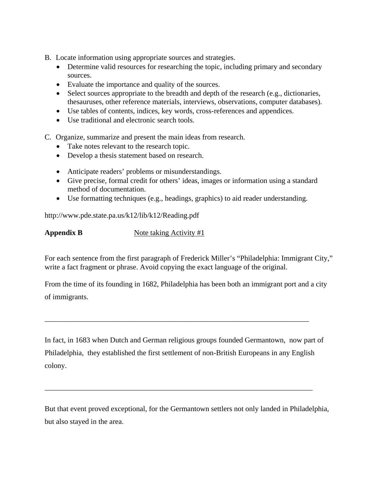- B. Locate information using appropriate sources and strategies.
	- Determine valid resources for researching the topic, including primary and secondary sources.
	- Evaluate the importance and quality of the sources.
	- Select sources appropriate to the breadth and depth of the research (e.g., dictionaries, thesauruses, other reference materials, interviews, observations, computer databases).
	- Use tables of contents, indices, key words, cross-references and appendices.
	- Use traditional and electronic search tools.
- C. Organize, summarize and present the main ideas from research.
	- Take notes relevant to the research topic.
	- Develop a thesis statement based on research.
	- Anticipate readers' problems or misunderstandings.
	- Give precise, formal credit for others' ideas, images or information using a standard method of documentation.
	- Use formatting techniques (e.g., headings, graphics) to aid reader understanding.

http://www.pde.state.pa.us/k12/lib/k12/Reading.pdf

**Appendix B** Note taking Activity #1

For each sentence from the first paragraph of Frederick Miller's "Philadelphia: Immigrant City," write a fact fragment or phrase. Avoid copying the exact language of the original.

From the time of its founding in 1682, Philadelphia has been both an immigrant port and a city of immigrants.

In fact, in 1683 when Dutch and German religious groups founded Germantown, now part of Philadelphia, they established the first settlement of non-British Europeans in any English colony.

\_\_\_\_\_\_\_\_\_\_\_\_\_\_\_\_\_\_\_\_\_\_\_\_\_\_\_\_\_\_\_\_\_\_\_\_\_\_\_\_\_\_\_\_\_\_\_\_\_\_\_\_\_\_\_\_\_\_\_\_\_\_\_\_\_\_\_\_\_\_\_\_

\_\_\_\_\_\_\_\_\_\_\_\_\_\_\_\_\_\_\_\_\_\_\_\_\_\_\_\_\_\_\_\_\_\_\_\_\_\_\_\_\_\_\_\_\_\_\_\_\_\_\_\_\_\_\_\_\_\_\_\_\_\_\_\_\_\_\_\_\_\_\_

But that event proved exceptional, for the Germantown settlers not only landed in Philadelphia, but also stayed in the area.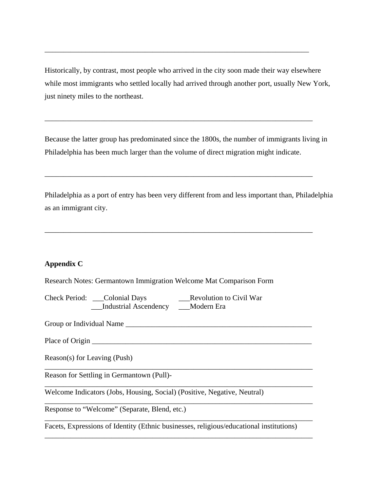Historically, by contrast, most people who arrived in the city soon made their way elsewhere while most immigrants who settled locally had arrived through another port, usually New York, just ninety miles to the northeast.

\_\_\_\_\_\_\_\_\_\_\_\_\_\_\_\_\_\_\_\_\_\_\_\_\_\_\_\_\_\_\_\_\_\_\_\_\_\_\_\_\_\_\_\_\_\_\_\_\_\_\_\_\_\_\_\_\_\_\_\_\_\_\_\_\_\_\_\_\_\_\_

Because the latter group has predominated since the 1800s, the number of immigrants living in Philadelphia has been much larger than the volume of direct migration might indicate.

\_\_\_\_\_\_\_\_\_\_\_\_\_\_\_\_\_\_\_\_\_\_\_\_\_\_\_\_\_\_\_\_\_\_\_\_\_\_\_\_\_\_\_\_\_\_\_\_\_\_\_\_\_\_\_\_\_\_\_\_\_\_\_\_\_\_\_\_\_\_\_\_

\_\_\_\_\_\_\_\_\_\_\_\_\_\_\_\_\_\_\_\_\_\_\_\_\_\_\_\_\_\_\_\_\_\_\_\_\_\_\_\_\_\_\_\_\_\_\_\_\_\_\_\_\_\_\_\_\_\_\_\_\_\_\_\_\_\_\_\_\_\_\_\_

\_\_\_\_\_\_\_\_\_\_\_\_\_\_\_\_\_\_\_\_\_\_\_\_\_\_\_\_\_\_\_\_\_\_\_\_\_\_\_\_\_\_\_\_\_\_\_\_\_\_\_\_\_\_\_\_\_\_\_\_\_\_\_\_\_\_\_\_\_\_\_\_

Philadelphia as a port of entry has been very different from and less important than, Philadelphia as an immigrant city.

## **Appendix C**

Research Notes: Germantown Immigration Welcome Mat Comparison Form

Check Period: \_\_\_Colonial Days \_\_\_Revolution to Civil War \_\_\_Industrial Ascendency \_\_\_Modern Era

Group or Individual Name \_\_\_\_\_\_\_\_\_\_\_\_\_\_\_\_\_\_\_\_\_\_\_\_\_\_\_\_\_\_\_\_\_\_\_\_\_\_\_\_\_\_\_\_\_\_\_\_\_\_

Place of Origin \_\_\_\_\_\_\_\_\_\_\_\_\_\_\_\_\_\_\_\_\_\_\_\_\_\_\_\_\_\_\_\_\_\_\_\_\_\_\_\_\_\_\_\_\_\_\_\_\_\_\_\_\_\_\_\_\_\_\_

Reason(s) for Leaving (Push)

Reason for Settling in Germantown (Pull)-

Welcome Indicators (Jobs, Housing, Social) (Positive, Negative, Neutral)

Response to "Welcome" (Separate, Blend, etc.)

Facets, Expressions of Identity (Ethnic businesses, religious/educational institutions)

\_\_\_\_\_\_\_\_\_\_\_\_\_\_\_\_\_\_\_\_\_\_\_\_\_\_\_\_\_\_\_\_\_\_\_\_\_\_\_\_\_\_\_\_\_\_\_\_\_\_\_\_\_\_\_\_\_\_\_\_\_\_\_\_\_\_\_\_\_\_\_\_

\_\_\_\_\_\_\_\_\_\_\_\_\_\_\_\_\_\_\_\_\_\_\_\_\_\_\_\_\_\_\_\_\_\_\_\_\_\_\_\_\_\_\_\_\_\_\_\_\_\_\_\_\_\_\_\_\_\_\_\_\_\_\_\_\_\_\_\_\_\_\_\_

\_\_\_\_\_\_\_\_\_\_\_\_\_\_\_\_\_\_\_\_\_\_\_\_\_\_\_\_\_\_\_\_\_\_\_\_\_\_\_\_\_\_\_\_\_\_\_\_\_\_\_\_\_\_\_\_\_\_\_\_\_\_\_\_\_\_\_\_\_\_\_\_

\_\_\_\_\_\_\_\_\_\_\_\_\_\_\_\_\_\_\_\_\_\_\_\_\_\_\_\_\_\_\_\_\_\_\_\_\_\_\_\_\_\_\_\_\_\_\_\_\_\_\_\_\_\_\_\_\_\_\_\_\_\_\_\_\_\_\_\_\_\_\_\_

\_\_\_\_\_\_\_\_\_\_\_\_\_\_\_\_\_\_\_\_\_\_\_\_\_\_\_\_\_\_\_\_\_\_\_\_\_\_\_\_\_\_\_\_\_\_\_\_\_\_\_\_\_\_\_\_\_\_\_\_\_\_\_\_\_\_\_\_\_\_\_\_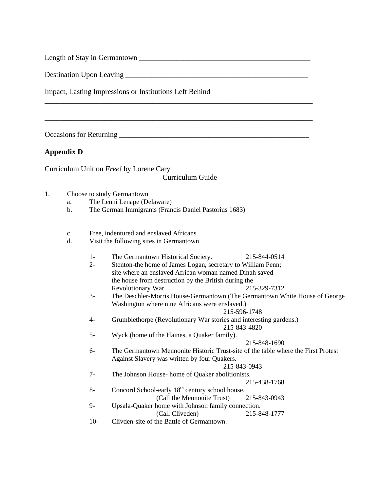Length of Stay in Germantown \_\_\_\_\_\_\_\_\_\_\_\_\_\_\_\_\_\_\_\_\_\_\_\_\_\_\_\_\_\_\_\_\_\_\_\_\_\_\_\_\_\_\_\_\_\_

Destination Upon Leaving \_\_\_\_\_\_\_\_\_\_\_\_\_\_\_\_\_\_\_\_\_\_\_\_\_\_\_\_\_\_\_\_\_\_\_\_\_\_\_\_\_\_\_\_\_\_\_\_\_

Impact, Lasting Impressions or Institutions Left Behind

Occasions for Returning \_\_\_\_\_\_\_\_\_\_\_\_\_\_\_\_\_\_\_\_\_\_\_\_\_\_\_\_\_\_\_\_\_\_\_\_\_\_\_\_\_\_\_\_\_\_\_\_\_\_\_

## **Appendix D**

Curriculum Unit on *Free!* by Lorene Cary

#### Curriculum Guide

\_\_\_\_\_\_\_\_\_\_\_\_\_\_\_\_\_\_\_\_\_\_\_\_\_\_\_\_\_\_\_\_\_\_\_\_\_\_\_\_\_\_\_\_\_\_\_\_\_\_\_\_\_\_\_\_\_\_\_\_\_\_\_\_\_\_\_\_\_\_\_\_

\_\_\_\_\_\_\_\_\_\_\_\_\_\_\_\_\_\_\_\_\_\_\_\_\_\_\_\_\_\_\_\_\_\_\_\_\_\_\_\_\_\_\_\_\_\_\_\_\_\_\_\_\_\_\_\_\_\_\_\_\_\_\_\_\_\_\_\_\_\_\_\_

- 1. Choose to study Germantown
	- a. The Lenni Lenape (Delaware)
	- b. The German Immigrants (Francis Daniel Pastorius 1683)
	- c. Free, indentured and enslaved Africans
	- d. Visit the following sites in Germantown
		- 1- The Germantown Historical Society. 215-844-0514
		- 2- Stenton-the home of James Logan, secretary to William Penn; site where an enslaved African woman named Dinah saved the house from destruction by the British during the Revolutionary War. 215-329-7312
		- 3- The Deschler-Morris House-Germantown (The Germantown White House of George Washington where nine Africans were enslaved.)

215-596-1748

- 4- Grumblethorpe (Revolutionary War stories and interesting gardens.) 215-843-4820
- 5- Wyck (home of the Haines, a Quaker family).

#### 215-848-1690

6- The Germantown Mennonite Historic Trust-site of the table where the First Protest Against Slavery was written by four Quakers.

215-843-0943

7- The Johnson House- home of Quaker abolitionists.

#### 215-438-1768

- 8- Concord School-early  $18<sup>th</sup>$  century school house. (Call the Mennonite Trust) 215-843-0943 9- Upsala-Quaker home with Johnson family connection.
	- (Call Cliveden) 215-848-1777
- 10- Clivden-site of the Battle of Germantown.